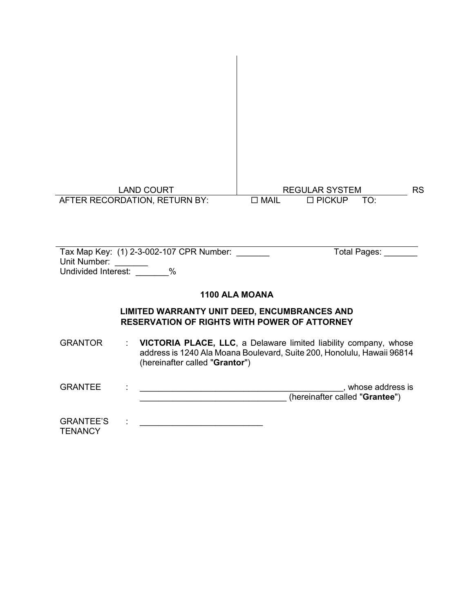| <b>LAND COURT</b>             | <b>REGULAR SYSTEM</b>                  | <b>RS</b> |
|-------------------------------|----------------------------------------|-----------|
| AFTER RECORDATION, RETURN BY: | $\square$ MAIL<br>$\Box$ PICKUP<br>TO: |           |
|                               |                                        |           |
|                               |                                        |           |

| Tax Map Key: (1) 2-3-002-107 CPR Number:<br>Unit Number:<br>Undivided Interest:<br>$\%$                    | Total Pages: |
|------------------------------------------------------------------------------------------------------------|--------------|
| 1100 ALA MOANA                                                                                             |              |
| <b>LIMITED WARRANTY UNIT DEED, ENCUMBRANCES AND</b><br><b>RESERVATION OF RIGHTS WITH POWER OF ATTORNEY</b> |              |

GRANTOR : **VICTORIA PLACE, LLC**, a Delaware limited liability company, whose address is 1240 Ala Moana Boulevard, Suite 200, Honolulu, Hawaii 96814 (hereinafter called "**Grantor**")

GRANTEE : \_\_\_\_\_\_\_\_\_\_\_\_\_\_\_\_\_\_\_\_\_\_\_\_\_\_\_\_\_\_\_\_\_\_\_\_\_\_\_\_\_\_\_, whose address is \_\_\_\_\_\_\_\_\_\_\_\_\_\_\_\_\_\_\_\_\_\_\_\_\_\_\_\_\_\_\_ (hereinafter called "**Grantee**")

GRANTEE'S **TENANCY** :  $\mathbf{r} = \mathbf{r} - \mathbf{r}$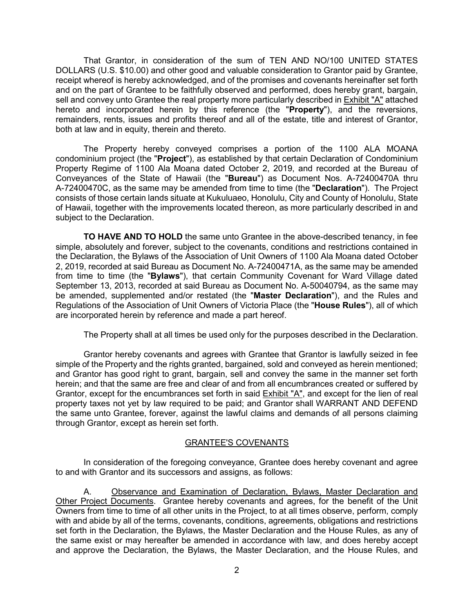That Grantor, in consideration of the sum of TEN AND NO/100 UNITED STATES DOLLARS (U.S. \$10.00) and other good and valuable consideration to Grantor paid by Grantee, receipt whereof is hereby acknowledged, and of the promises and covenants hereinafter set forth and on the part of Grantee to be faithfully observed and performed, does hereby grant, bargain, sell and convey unto Grantee the real property more particularly described in Exhibit "A" attached hereto and incorporated herein by this reference (the "**Property**"), and the reversions, remainders, rents, issues and profits thereof and all of the estate, title and interest of Grantor, both at law and in equity, therein and thereto.

The Property hereby conveyed comprises a portion of the 1100 ALA MOANA condominium project (the "**Project**"), as established by that certain Declaration of Condominium Property Regime of 1100 Ala Moana dated October 2, 2019, and recorded at the Bureau of Conveyances of the State of Hawaii (the "**Bureau**") as Document Nos. A-72400470A thru A-72400470C, as the same may be amended from time to time (the "**Declaration**"). The Project consists of those certain lands situate at Kukuluaeo, Honolulu, City and County of Honolulu, State of Hawaii, together with the improvements located thereon, as more particularly described in and subject to the Declaration.

**TO HAVE AND TO HOLD** the same unto Grantee in the above-described tenancy, in fee simple, absolutely and forever, subject to the covenants, conditions and restrictions contained in the Declaration, the Bylaws of the Association of Unit Owners of 1100 Ala Moana dated October 2, 2019, recorded at said Bureau as Document No. A-72400471A, as the same may be amended from time to time (the "**Bylaws**"), that certain Community Covenant for Ward Village dated September 13, 2013, recorded at said Bureau as Document No. A-50040794, as the same may be amended, supplemented and/or restated (the "**Master Declaration**"), and the Rules and Regulations of the Association of Unit Owners of Victoria Place (the "**House Rules**"), all of which are incorporated herein by reference and made a part hereof.

The Property shall at all times be used only for the purposes described in the Declaration.

Grantor hereby covenants and agrees with Grantee that Grantor is lawfully seized in fee simple of the Property and the rights granted, bargained, sold and conveyed as herein mentioned; and Grantor has good right to grant, bargain, sell and convey the same in the manner set forth herein; and that the same are free and clear of and from all encumbrances created or suffered by Grantor, except for the encumbrances set forth in said Exhibit "A", and except for the lien of real property taxes not yet by law required to be paid; and Grantor shall WARRANT AND DEFEND the same unto Grantee, forever, against the lawful claims and demands of all persons claiming through Grantor, except as herein set forth.

#### GRANTEE'S COVENANTS

In consideration of the foregoing conveyance, Grantee does hereby covenant and agree to and with Grantor and its successors and assigns, as follows:

A. Observance and Examination of Declaration, Bylaws, Master Declaration and Other Project Documents. Grantee hereby covenants and agrees, for the benefit of the Unit Owners from time to time of all other units in the Project, to at all times observe, perform, comply with and abide by all of the terms, covenants, conditions, agreements, obligations and restrictions set forth in the Declaration, the Bylaws, the Master Declaration and the House Rules, as any of the same exist or may hereafter be amended in accordance with law, and does hereby accept and approve the Declaration, the Bylaws, the Master Declaration, and the House Rules, and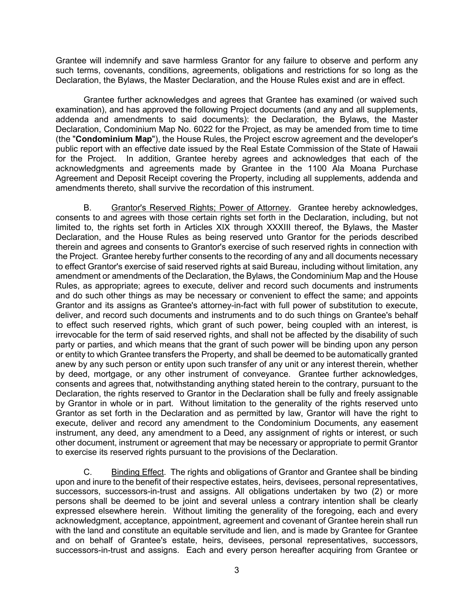Grantee will indemnify and save harmless Grantor for any failure to observe and perform any such terms, covenants, conditions, agreements, obligations and restrictions for so long as the Declaration, the Bylaws, the Master Declaration, and the House Rules exist and are in effect.

Grantee further acknowledges and agrees that Grantee has examined (or waived such examination), and has approved the following Project documents (and any and all supplements, addenda and amendments to said documents): the Declaration, the Bylaws, the Master Declaration, Condominium Map No. 6022 for the Project, as may be amended from time to time (the "**Condominium Map**"), the House Rules, the Project escrow agreement and the developer's public report with an effective date issued by the Real Estate Commission of the State of Hawaii for the Project. In addition, Grantee hereby agrees and acknowledges that each of the acknowledgments and agreements made by Grantee in the 1100 Ala Moana Purchase Agreement and Deposit Receipt covering the Property, including all supplements, addenda and amendments thereto, shall survive the recordation of this instrument.

B. Grantor's Reserved Rights; Power of Attorney. Grantee hereby acknowledges, consents to and agrees with those certain rights set forth in the Declaration, including, but not limited to, the rights set forth in Articles XIX through XXXIII thereof, the Bylaws, the Master Declaration, and the House Rules as being reserved unto Grantor for the periods described therein and agrees and consents to Grantor's exercise of such reserved rights in connection with the Project. Grantee hereby further consents to the recording of any and all documents necessary to effect Grantor's exercise of said reserved rights at said Bureau, including without limitation, any amendment or amendments of the Declaration, the Bylaws, the Condominium Map and the House Rules, as appropriate; agrees to execute, deliver and record such documents and instruments and do such other things as may be necessary or convenient to effect the same; and appoints Grantor and its assigns as Grantee's attorney-in-fact with full power of substitution to execute, deliver, and record such documents and instruments and to do such things on Grantee's behalf to effect such reserved rights, which grant of such power, being coupled with an interest, is irrevocable for the term of said reserved rights, and shall not be affected by the disability of such party or parties, and which means that the grant of such power will be binding upon any person or entity to which Grantee transfers the Property, and shall be deemed to be automatically granted anew by any such person or entity upon such transfer of any unit or any interest therein, whether by deed, mortgage, or any other instrument of conveyance. Grantee further acknowledges, consents and agrees that, notwithstanding anything stated herein to the contrary, pursuant to the Declaration, the rights reserved to Grantor in the Declaration shall be fully and freely assignable by Grantor in whole or in part. Without limitation to the generality of the rights reserved unto Grantor as set forth in the Declaration and as permitted by law, Grantor will have the right to execute, deliver and record any amendment to the Condominium Documents, any easement instrument, any deed, any amendment to a Deed, any assignment of rights or interest, or such other document, instrument or agreement that may be necessary or appropriate to permit Grantor to exercise its reserved rights pursuant to the provisions of the Declaration.

C. Binding Effect. The rights and obligations of Grantor and Grantee shall be binding upon and inure to the benefit of their respective estates, heirs, devisees, personal representatives, successors, successors-in-trust and assigns. All obligations undertaken by two (2) or more persons shall be deemed to be joint and several unless a contrary intention shall be clearly expressed elsewhere herein. Without limiting the generality of the foregoing, each and every acknowledgment, acceptance, appointment, agreement and covenant of Grantee herein shall run with the land and constitute an equitable servitude and lien, and is made by Grantee for Grantee and on behalf of Grantee's estate, heirs, devisees, personal representatives, successors, successors-in-trust and assigns. Each and every person hereafter acquiring from Grantee or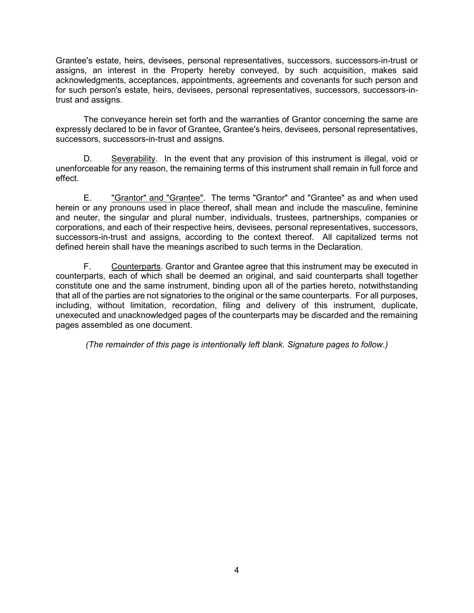Grantee's estate, heirs, devisees, personal representatives, successors, successors-in-trust or assigns, an interest in the Property hereby conveyed, by such acquisition, makes said acknowledgments, acceptances, appointments, agreements and covenants for such person and for such person's estate, heirs, devisees, personal representatives, successors, successors-intrust and assigns.

The conveyance herein set forth and the warranties of Grantor concerning the same are expressly declared to be in favor of Grantee, Grantee's heirs, devisees, personal representatives, successors, successors-in-trust and assigns.

D. Severability. In the event that any provision of this instrument is illegal, void or unenforceable for any reason, the remaining terms of this instrument shall remain in full force and effect.

E. "Grantor" and "Grantee". The terms "Grantor" and "Grantee" as and when used herein or any pronouns used in place thereof, shall mean and include the masculine, feminine and neuter, the singular and plural number, individuals, trustees, partnerships, companies or corporations, and each of their respective heirs, devisees, personal representatives, successors, successors-in-trust and assigns, according to the context thereof. All capitalized terms not defined herein shall have the meanings ascribed to such terms in the Declaration.

F. Counterparts. Grantor and Grantee agree that this instrument may be executed in counterparts, each of which shall be deemed an original, and said counterparts shall together constitute one and the same instrument, binding upon all of the parties hereto, notwithstanding that all of the parties are not signatories to the original or the same counterparts. For all purposes, including, without limitation, recordation, filing and delivery of this instrument, duplicate, unexecuted and unacknowledged pages of the counterparts may be discarded and the remaining pages assembled as one document.

*(The remainder of this page is intentionally left blank. Signature pages to follow.)*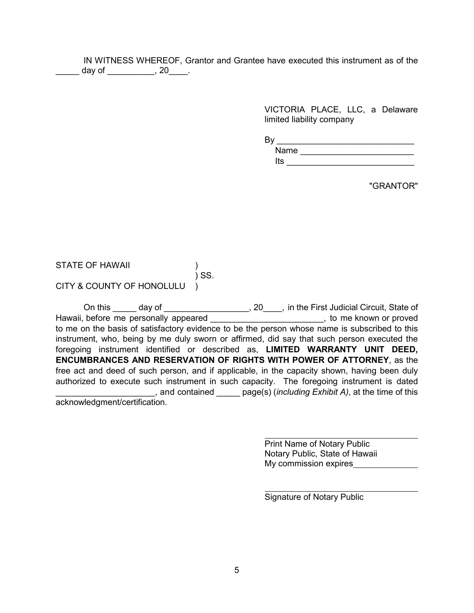IN WITNESS WHEREOF, Grantor and Grantee have executed this instrument as of the \_\_\_\_\_ day of \_\_\_\_\_\_\_\_\_\_, 20\_\_\_\_.

> VICTORIA PLACE, LLC, a Delaware limited liability company

By \_\_\_\_\_\_\_\_\_\_\_\_\_\_\_\_\_\_\_\_\_\_\_\_\_\_\_\_\_

Name \_\_\_\_\_\_\_\_\_\_\_\_\_\_\_\_\_\_\_\_\_\_\_\_\_\_\_\_  $Its \_\_$ 

"GRANTOR"

| <b>STATE OF HAWAII</b> |       |
|------------------------|-------|
|                        | ) SS. |

CITY & COUNTY OF HONOLULU )

|                               | On this day of the Section 1900 to the First Judicial Circuit, State of                       |
|-------------------------------|-----------------------------------------------------------------------------------------------|
|                               | Hawaii, before me personally appeared <b>Exercise 2</b> and the set of the known or proved    |
|                               | to me on the basis of satisfactory evidence to be the person whose name is subscribed to this |
|                               | instrument, who, being by me duly sworn or affirmed, did say that such person executed the    |
|                               | foregoing instrument identified or described as, LIMITED WARRANTY UNIT DEED,                  |
|                               | <b>ENCUMBRANCES AND RESERVATION OF RIGHTS WITH POWER OF ATTORNEY, as the</b>                  |
|                               | free act and deed of such person, and if applicable, in the capacity shown, having been duly  |
|                               | authorized to execute such instrument in such capacity. The foregoing instrument is dated     |
|                               | and contained page(s) (including Exhibit A), at the time of this                              |
| acknowledgment/certification. |                                                                                               |

Print Name of Notary Public Notary Public, State of Hawaii My commission expires

Signature of Notary Public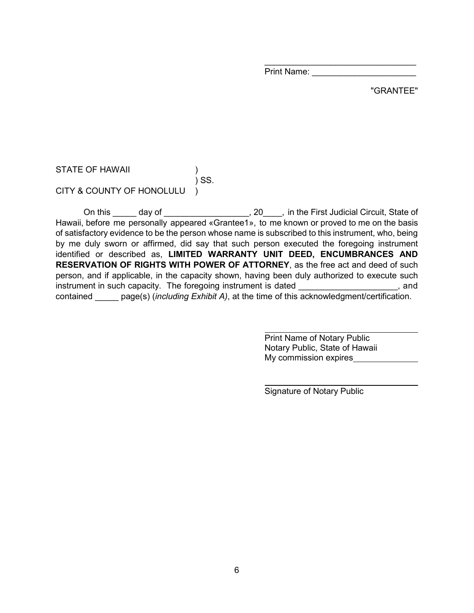Print Name:

 $\overline{\phantom{a}}$  , and the set of the set of the set of the set of the set of the set of the set of the set of the set of the set of the set of the set of the set of the set of the set of the set of the set of the set of the s

### "GRANTEE"

STATE OF HAWAII (1997) ) SS. CITY & COUNTY OF HONOLULU )

On this day of \_\_\_\_\_\_\_\_\_\_\_\_\_\_\_\_\_, 20\_\_\_, in the First Judicial Circuit, State of Hawaii, before me personally appeared «Grantee1», to me known or proved to me on the basis of satisfactory evidence to be the person whose name is subscribed to this instrument, who, being by me duly sworn or affirmed, did say that such person executed the foregoing instrument identified or described as, **LIMITED WARRANTY UNIT DEED, ENCUMBRANCES AND RESERVATION OF RIGHTS WITH POWER OF ATTORNEY**, as the free act and deed of such person, and if applicable, in the capacity shown, having been duly authorized to execute such instrument in such capacity. The foregoing instrument is dated \_\_\_\_\_\_\_\_\_\_\_\_\_\_\_\_\_\_, and contained \_\_\_\_\_ page(s) (*including Exhibit A)*, at the time of this acknowledgment/certification.

> Print Name of Notary Public Notary Public, State of Hawaii My commission expires

Signature of Notary Public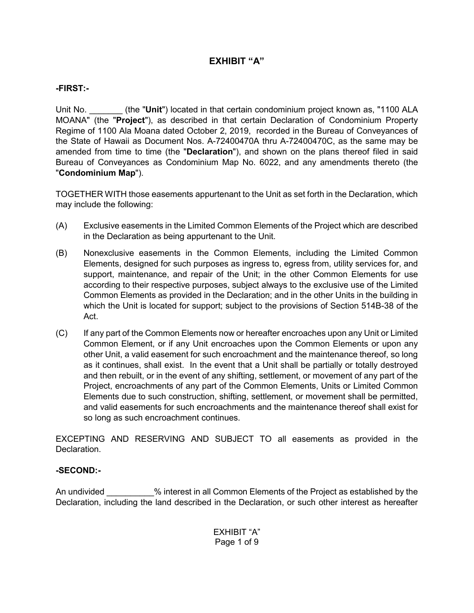# **EXHIBIT "A"**

## **-FIRST:-**

Unit No. \_\_\_\_\_\_\_ (the "**Unit**") located in that certain condominium project known as, "1100 ALA MOANA" (the "**Project**"), as described in that certain Declaration of Condominium Property Regime of 1100 Ala Moana dated October 2, 2019, recorded in the Bureau of Conveyances of the State of Hawaii as Document Nos. A-72400470A thru A-72400470C, as the same may be amended from time to time (the "**Declaration**"), and shown on the plans thereof filed in said Bureau of Conveyances as Condominium Map No. 6022, and any amendments thereto (the "**Condominium Map**").

TOGETHER WITH those easements appurtenant to the Unit as set forth in the Declaration, which may include the following:

- (A) Exclusive easements in the Limited Common Elements of the Project which are described in the Declaration as being appurtenant to the Unit.
- (B) Nonexclusive easements in the Common Elements, including the Limited Common Elements, designed for such purposes as ingress to, egress from, utility services for, and support, maintenance, and repair of the Unit; in the other Common Elements for use according to their respective purposes, subject always to the exclusive use of the Limited Common Elements as provided in the Declaration; and in the other Units in the building in which the Unit is located for support; subject to the provisions of Section 514B-38 of the Act.
- (C) If any part of the Common Elements now or hereafter encroaches upon any Unit or Limited Common Element, or if any Unit encroaches upon the Common Elements or upon any other Unit, a valid easement for such encroachment and the maintenance thereof, so long as it continues, shall exist. In the event that a Unit shall be partially or totally destroyed and then rebuilt, or in the event of any shifting, settlement, or movement of any part of the Project, encroachments of any part of the Common Elements, Units or Limited Common Elements due to such construction, shifting, settlement, or movement shall be permitted, and valid easements for such encroachments and the maintenance thereof shall exist for so long as such encroachment continues.

EXCEPTING AND RESERVING AND SUBJECT TO all easements as provided in the Declaration.

## **-SECOND:-**

An undivided  $\%$  interest in all Common Elements of the Project as established by the Declaration, including the land described in the Declaration, or such other interest as hereafter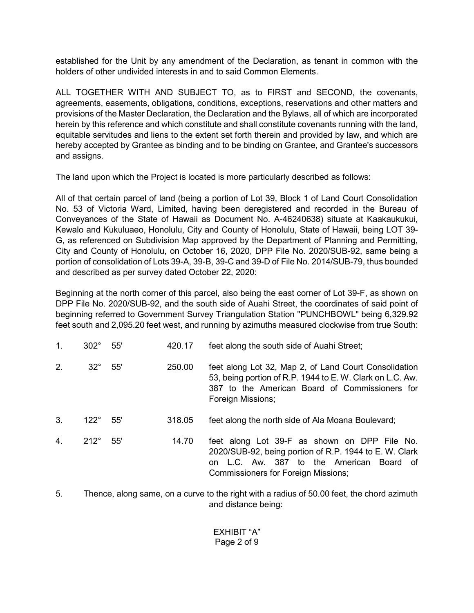established for the Unit by any amendment of the Declaration, as tenant in common with the holders of other undivided interests in and to said Common Elements.

ALL TOGETHER WITH AND SUBJECT TO, as to FIRST and SECOND, the covenants, agreements, easements, obligations, conditions, exceptions, reservations and other matters and provisions of the Master Declaration, the Declaration and the Bylaws, all of which are incorporated herein by this reference and which constitute and shall constitute covenants running with the land, equitable servitudes and liens to the extent set forth therein and provided by law, and which are hereby accepted by Grantee as binding and to be binding on Grantee, and Grantee's successors and assigns.

The land upon which the Project is located is more particularly described as follows:

All of that certain parcel of land (being a portion of Lot 39, Block 1 of Land Court Consolidation No. 53 of Victoria Ward, Limited, having been deregistered and recorded in the Bureau of Conveyances of the State of Hawaii as Document No. A-46240638) situate at Kaakaukukui, Kewalo and Kukuluaeo, Honolulu, City and County of Honolulu, State of Hawaii, being LOT 39- G, as referenced on Subdivision Map approved by the Department of Planning and Permitting, City and County of Honolulu, on October 16, 2020, DPP File No. 2020/SUB-92, same being a portion of consolidation of Lots 39-A, 39-B, 39-C and 39-D of File No. 2014/SUB-79, thus bounded and described as per survey dated October 22, 2020:

Beginning at the north corner of this parcel, also being the east corner of Lot 39-F, as shown on DPP File No. 2020/SUB-92, and the south side of Auahi Street, the coordinates of said point of beginning referred to Government Survey Triangulation Station "PUNCHBOWL" being 6,329.92 feet south and 2,095.20 feet west, and running by azimuths measured clockwise from true South:

| 1. | $302^\circ$ | 55' | 420.17 | feet along the south side of Auahi Street;                                                                                                                                                       |
|----|-------------|-----|--------|--------------------------------------------------------------------------------------------------------------------------------------------------------------------------------------------------|
| 2. | $32^\circ$  | 55' | 250.00 | feet along Lot 32, Map 2, of Land Court Consolidation<br>53, being portion of R.P. 1944 to E. W. Clark on L.C. Aw.<br>387 to the American Board of Commissioners for<br>Foreign Missions;        |
| 3. | $122^\circ$ | 55' | 318.05 | feet along the north side of Ala Moana Boulevard;                                                                                                                                                |
| 4. | $212^\circ$ | 55' | 14.70  | feet along Lot 39-F as shown on DPP File No.<br>2020/SUB-92, being portion of R.P. 1944 to E. W. Clark<br>on L.C. Aw. 387 to the American Board of<br><b>Commissioners for Foreign Missions;</b> |

5. Thence, along same, on a curve to the right with a radius of 50.00 feet, the chord azimuth and distance being: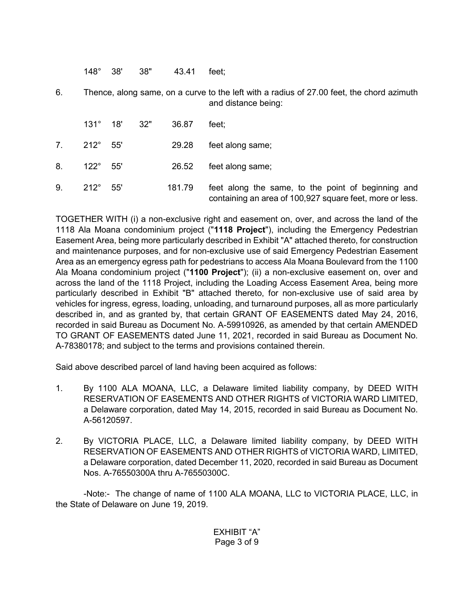148° 38' 38" 43.41 feet;

6. Thence, along same, on a curve to the left with a radius of 27.00 feet, the chord azimuth and distance being:

|    |                      | $131^{\circ}$ 18' 32" | 36.87  | feet:                                                                                                          |
|----|----------------------|-----------------------|--------|----------------------------------------------------------------------------------------------------------------|
|    | $7. 212^{\circ} 55'$ |                       | 29.28  | feet along same;                                                                                               |
| 8. | $122^{\circ}$ 55'    |                       | 26.52  | feet along same;                                                                                               |
| 9. | $212^\circ$ 55'      |                       | 181.79 | feet along the same, to the point of beginning and<br>containing an area of 100,927 square feet, more or less. |

TOGETHER WITH (i) a non-exclusive right and easement on, over, and across the land of the 1118 Ala Moana condominium project ("**1118 Project**"), including the Emergency Pedestrian Easement Area, being more particularly described in Exhibit "A" attached thereto, for construction and maintenance purposes, and for non-exclusive use of said Emergency Pedestrian Easement Area as an emergency egress path for pedestrians to access Ala Moana Boulevard from the 1100 Ala Moana condominium project ("**1100 Project**"); (ii) a non-exclusive easement on, over and across the land of the 1118 Project, including the Loading Access Easement Area, being more particularly described in Exhibit "B" attached thereto, for non-exclusive use of said area by vehicles for ingress, egress, loading, unloading, and turnaround purposes, all as more particularly described in, and as granted by, that certain GRANT OF EASEMENTS dated May 24, 2016, recorded in said Bureau as Document No. A-59910926, as amended by that certain AMENDED TO GRANT OF EASEMENTS dated June 11, 2021, recorded in said Bureau as Document No. A-78380178; and subject to the terms and provisions contained therein.

Said above described parcel of land having been acquired as follows:

- 1. By 1100 ALA MOANA, LLC, a Delaware limited liability company, by DEED WITH RESERVATION OF EASEMENTS AND OTHER RIGHTS of VICTORIA WARD LIMITED, a Delaware corporation, dated May 14, 2015, recorded in said Bureau as Document No. A-56120597.
- 2. By VICTORIA PLACE, LLC, a Delaware limited liability company, by DEED WITH RESERVATION OF EASEMENTS AND OTHER RIGHTS of VICTORIA WARD, LIMITED, a Delaware corporation, dated December 11, 2020, recorded in said Bureau as Document Nos. A-76550300A thru A-76550300C.

-Note:- The change of name of 1100 ALA MOANA, LLC to VICTORIA PLACE, LLC, in the State of Delaware on June 19, 2019.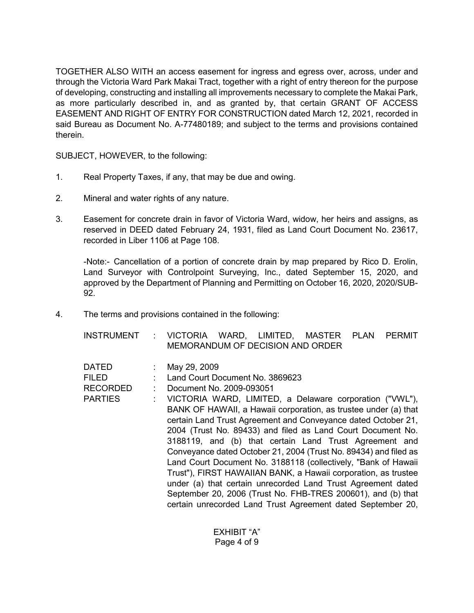TOGETHER ALSO WITH an access easement for ingress and egress over, across, under and through the Victoria Ward Park Makai Tract, together with a right of entry thereon for the purpose of developing, constructing and installing all improvements necessary to complete the Makai Park, as more particularly described in, and as granted by, that certain GRANT OF ACCESS EASEMENT AND RIGHT OF ENTRY FOR CONSTRUCTION dated March 12, 2021, recorded in said Bureau as Document No. A-77480189; and subject to the terms and provisions contained therein.

SUBJECT, HOWEVER, to the following:

- 1. Real Property Taxes, if any, that may be due and owing.
- 2. Mineral and water rights of any nature.
- 3. Easement for concrete drain in favor of Victoria Ward, widow, her heirs and assigns, as reserved in DEED dated February 24, 1931, filed as Land Court Document No. 23617, recorded in Liber 1106 at Page 108.

-Note:- Cancellation of a portion of concrete drain by map prepared by Rico D. Erolin, Land Surveyor with Controlpoint Surveying, Inc., dated September 15, 2020, and approved by the Department of Planning and Permitting on October 16, 2020, 2020/SUB-92.

4. The terms and provisions contained in the following:

| INSTRUMENT : VICTORIA WARD, LIMITED, MASTER PLAN PERMIT |                                  |  |  |  |
|---------------------------------------------------------|----------------------------------|--|--|--|
|                                                         | MEMORANDUM OF DECISION AND ORDER |  |  |  |

| <b>DATED</b><br><b>FILED</b><br><b>RECORDED</b><br><b>PARTIES</b> | May 29, 2009<br>Land Court Document No. 3869623<br>Document No. 2009-093051<br>VICTORIA WARD, LIMITED, a Delaware corporation ("VWL"),<br>BANK OF HAWAII, a Hawaii corporation, as trustee under (a) that<br>certain Land Trust Agreement and Conveyance dated October 21,<br>2004 (Trust No. 89433) and filed as Land Court Document No.<br>3188119, and (b) that certain Land Trust Agreement and<br>Conveyance dated October 21, 2004 (Trust No. 89434) and filed as<br>Land Court Document No. 3188118 (collectively, "Bank of Hawaii<br>Trust"), FIRST HAWAIIAN BANK, a Hawaii corporation, as trustee<br>under (a) that certain unrecorded Land Trust Agreement dated<br>September 20, 2006 (Trust No. FHB-TRES 200601), and (b) that |
|-------------------------------------------------------------------|---------------------------------------------------------------------------------------------------------------------------------------------------------------------------------------------------------------------------------------------------------------------------------------------------------------------------------------------------------------------------------------------------------------------------------------------------------------------------------------------------------------------------------------------------------------------------------------------------------------------------------------------------------------------------------------------------------------------------------------------|
|                                                                   | certain unrecorded Land Trust Agreement dated September 20,                                                                                                                                                                                                                                                                                                                                                                                                                                                                                                                                                                                                                                                                                 |

EXHIBIT "A" Page 4 of 9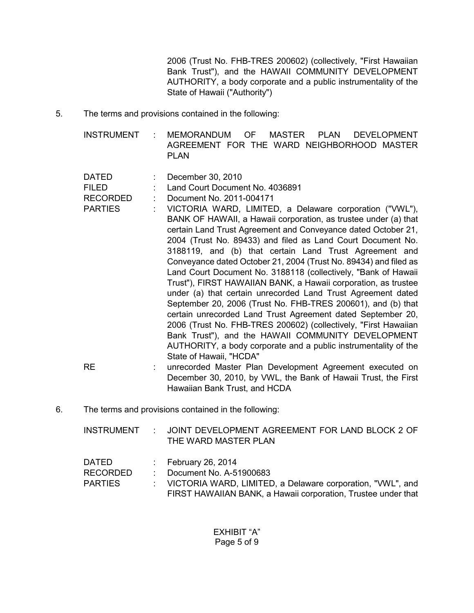2006 (Trust No. FHB-TRES 200602) (collectively, "First Hawaiian Bank Trust"), and the HAWAII COMMUNITY DEVELOPMENT AUTHORITY, a body corporate and a public instrumentality of the State of Hawaii ("Authority")

5. The terms and provisions contained in the following:

INSTRUMENT : MEMORANDUM OF MASTER PLAN DEVELOPMENT AGREEMENT FOR THE WARD NEIGHBORHOOD MASTER PLAN

DATED : December 30, 2010

FILED : Land Court Document No. 4036891

- RECORDED : Document No. 2011-004171
- PARTIES : VICTORIA WARD, LIMITED, a Delaware corporation ("VWL"), BANK OF HAWAII, a Hawaii corporation, as trustee under (a) that certain Land Trust Agreement and Conveyance dated October 21, 2004 (Trust No. 89433) and filed as Land Court Document No. 3188119, and (b) that certain Land Trust Agreement and Conveyance dated October 21, 2004 (Trust No. 89434) and filed as Land Court Document No. 3188118 (collectively, "Bank of Hawaii Trust"), FIRST HAWAIIAN BANK, a Hawaii corporation, as trustee under (a) that certain unrecorded Land Trust Agreement dated September 20, 2006 (Trust No. FHB-TRES 200601), and (b) that certain unrecorded Land Trust Agreement dated September 20, 2006 (Trust No. FHB-TRES 200602) (collectively, "First Hawaiian Bank Trust"), and the HAWAII COMMUNITY DEVELOPMENT AUTHORITY, a body corporate and a public instrumentality of the State of Hawaii, "HCDA"
	- RE : unrecorded Master Plan Development Agreement executed on December 30, 2010, by VWL, the Bank of Hawaii Trust, the First Hawaiian Bank Trust, and HCDA
- 6. The terms and provisions contained in the following:

INSTRUMENT : JOINT DEVELOPMENT AGREEMENT FOR LAND BLOCK 2 OF THE WARD MASTER PLAN

DATED : February 26, 2014

RECORDED : Document No. A-51900683

PARTIES : VICTORIA WARD, LIMITED, a Delaware corporation, "VWL", and FIRST HAWAIIAN BANK, a Hawaii corporation, Trustee under that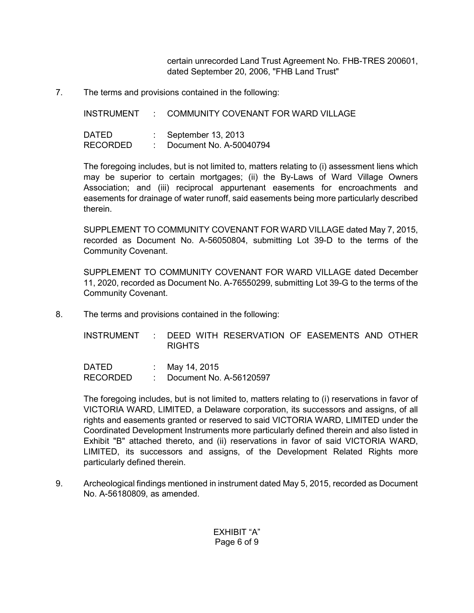certain unrecorded Land Trust Agreement No. FHB-TRES 200601, dated September 20, 2006, "FHB Land Trust"

7. The terms and provisions contained in the following:

INSTRUMENT : COMMUNITY COVENANT FOR WARD VILLAGE DATED : September 13, 2013 RECORDED : Document No. A-50040794

The foregoing includes, but is not limited to, matters relating to (i) assessment liens which may be superior to certain mortgages; (ii) the By-Laws of Ward Village Owners Association; and (iii) reciprocal appurtenant easements for encroachments and easements for drainage of water runoff, said easements being more particularly described therein.

SUPPLEMENT TO COMMUNITY COVENANT FOR WARD VILLAGE dated May 7, 2015, recorded as Document No. A-56050804, submitting Lot 39-D to the terms of the Community Covenant.

SUPPLEMENT TO COMMUNITY COVENANT FOR WARD VILLAGE dated December 11, 2020, recorded as Document No. A-76550299, submitting Lot 39-G to the terms of the Community Covenant.

8. The terms and provisions contained in the following:

INSTRUMENT : DEED WITH RESERVATION OF EASEMENTS AND OTHER RIGHTS

DATED : May 14, 2015 RECORDED : Document No. A-56120597

The foregoing includes, but is not limited to, matters relating to (i) reservations in favor of VICTORIA WARD, LIMITED, a Delaware corporation, its successors and assigns, of all rights and easements granted or reserved to said VICTORIA WARD, LIMITED under the Coordinated Development Instruments more particularly defined therein and also listed in Exhibit "B" attached thereto, and (ii) reservations in favor of said VICTORIA WARD, LIMITED, its successors and assigns, of the Development Related Rights more particularly defined therein.

9. Archeological findings mentioned in instrument dated May 5, 2015, recorded as Document No. A-56180809, as amended.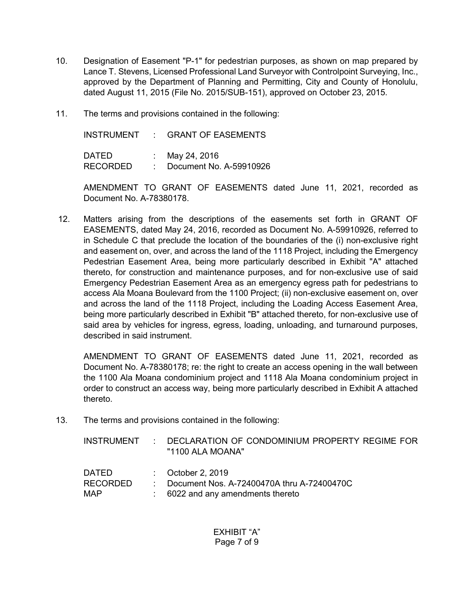- 10. Designation of Easement "P-1" for pedestrian purposes, as shown on map prepared by Lance T. Stevens, Licensed Professional Land Surveyor with Controlpoint Surveying, Inc., approved by the Department of Planning and Permitting, City and County of Honolulu, dated August 11, 2015 (File No. 2015/SUB-151), approved on October 23, 2015.
- 11. The terms and provisions contained in the following:

INSTRUMENT : GRANT OF EASEMENTS DATED : May 24, 2016 RECORDED : Document No. A-59910926

AMENDMENT TO GRANT OF EASEMENTS dated June 11, 2021, recorded as Document No. A-78380178.

12. Matters arising from the descriptions of the easements set forth in GRANT OF EASEMENTS, dated May 24, 2016, recorded as Document No. A-59910926, referred to in Schedule C that preclude the location of the boundaries of the (i) non-exclusive right and easement on, over, and across the land of the 1118 Project, including the Emergency Pedestrian Easement Area, being more particularly described in Exhibit "A" attached thereto, for construction and maintenance purposes, and for non-exclusive use of said Emergency Pedestrian Easement Area as an emergency egress path for pedestrians to access Ala Moana Boulevard from the 1100 Project; (ii) non-exclusive easement on, over and across the land of the 1118 Project, including the Loading Access Easement Area, being more particularly described in Exhibit "B" attached thereto, for non-exclusive use of said area by vehicles for ingress, egress, loading, unloading, and turnaround purposes, described in said instrument.

AMENDMENT TO GRANT OF EASEMENTS dated June 11, 2021, recorded as Document No. A-78380178; re: the right to create an access opening in the wall between the 1100 Ala Moana condominium project and 1118 Ala Moana condominium project in order to construct an access way, being more particularly described in Exhibit A attached thereto.

13. The terms and provisions contained in the following:

| INSTRUMENT   | <b>P.</b> 19 | DECLARATION OF CONDOMINIUM PROPERTY REGIME FOR<br>"1100 ALA MOANA" |
|--------------|--------------|--------------------------------------------------------------------|
| <b>DATED</b> |              | $\therefore$ October 2, 2019                                       |
| RECORDED     |              | Document Nos. A-72400470A thru A-72400470C                         |
| MAP          |              | 6022 and any amendments thereto                                    |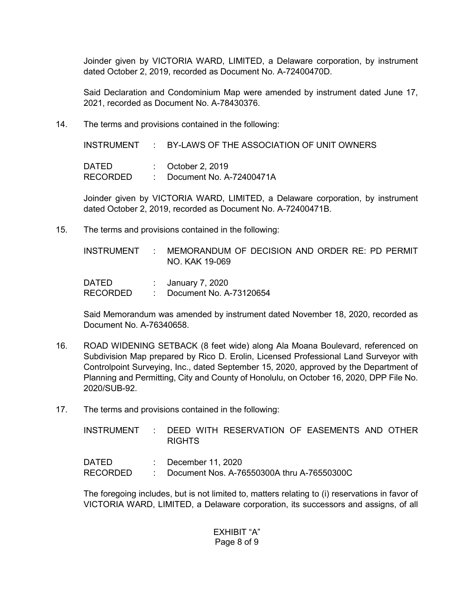Joinder given by VICTORIA WARD, LIMITED, a Delaware corporation, by instrument dated October 2, 2019, recorded as Document No. A-72400470D.

Said Declaration and Condominium Map were amended by instrument dated June 17, 2021, recorded as Document No. A-78430376.

14. The terms and provisions contained in the following:

INSTRUMENT : BY-LAWS OF THE ASSOCIATION OF UNIT OWNERS DATED : October 2, 2019 RECORDED : Document No. A-72400471A

Joinder given by VICTORIA WARD, LIMITED, a Delaware corporation, by instrument dated October 2, 2019, recorded as Document No. A-72400471B.

15. The terms and provisions contained in the following:

INSTRUMENT : MEMORANDUM OF DECISION AND ORDER RE: PD PERMIT NO. KAK 19-069

DATED : January 7, 2020 RECORDED : Document No. A-73120654

Said Memorandum was amended by instrument dated November 18, 2020, recorded as Document No. A-76340658.

- 16. ROAD WIDENING SETBACK (8 feet wide) along Ala Moana Boulevard, referenced on Subdivision Map prepared by Rico D. Erolin, Licensed Professional Land Surveyor with Controlpoint Surveying, Inc., dated September 15, 2020, approved by the Department of Planning and Permitting, City and County of Honolulu, on October 16, 2020, DPP File No. 2020/SUB-92.
- 17. The terms and provisions contained in the following:

INSTRUMENT : DEED WITH RESERVATION OF EASEMENTS AND OTHER RIGHTS

| <b>DATED</b>    | $\therefore$ December 11, 2020             |
|-----------------|--------------------------------------------|
| <b>RECORDED</b> | Document Nos. A-76550300A thru A-76550300C |

The foregoing includes, but is not limited to, matters relating to (i) reservations in favor of VICTORIA WARD, LIMITED, a Delaware corporation, its successors and assigns, of all

> EXHIBIT "A" Page 8 of 9